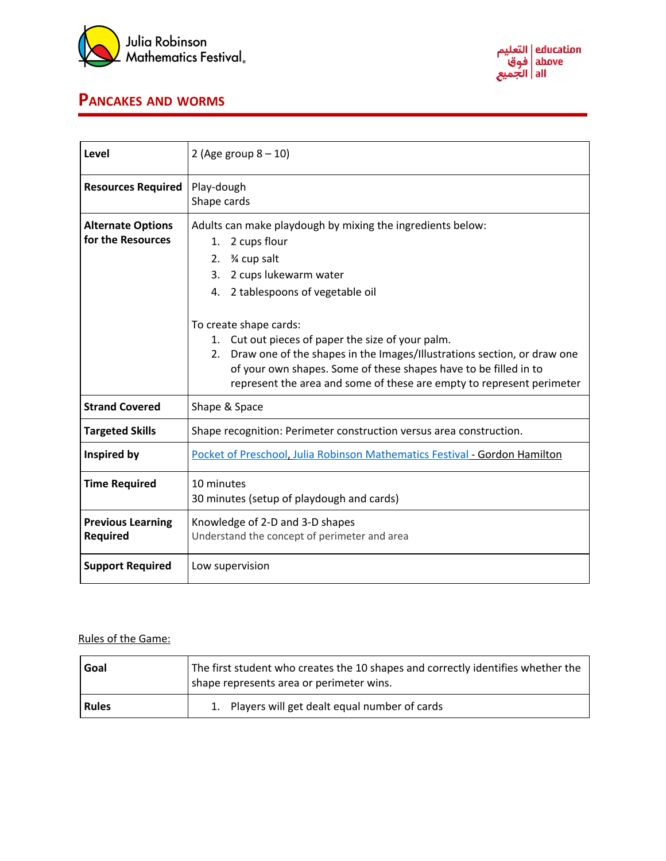



## **PANCAKES AND WORMS**

| Level                                         | 2 (Age group $8 - 10$ )                                                                                                                                                                                                                                                                                                                                                                                                                                                                 |
|-----------------------------------------------|-----------------------------------------------------------------------------------------------------------------------------------------------------------------------------------------------------------------------------------------------------------------------------------------------------------------------------------------------------------------------------------------------------------------------------------------------------------------------------------------|
| <b>Resources Required</b>                     | Play-dough<br>Shape cards                                                                                                                                                                                                                                                                                                                                                                                                                                                               |
| <b>Alternate Options</b><br>for the Resources | Adults can make playdough by mixing the ingredients below:<br>2 cups flour<br>1.<br>3⁄4 cup salt<br>2.<br>2 cups lukewarm water<br>3.<br>2 tablespoons of vegetable oil<br>4.<br>To create shape cards:<br>1. Cut out pieces of paper the size of your palm.<br>2. Draw one of the shapes in the Images/Illustrations section, or draw one<br>of your own shapes. Some of these shapes have to be filled in to<br>represent the area and some of these are empty to represent perimeter |
| <b>Strand Covered</b>                         | Shape & Space                                                                                                                                                                                                                                                                                                                                                                                                                                                                           |
| <b>Targeted Skills</b>                        | Shape recognition: Perimeter construction versus area construction.                                                                                                                                                                                                                                                                                                                                                                                                                     |
| Inspired by                                   | Pocket of Preschool, Julia Robinson Mathematics Festival - Gordon Hamilton                                                                                                                                                                                                                                                                                                                                                                                                              |
| <b>Time Required</b>                          | 10 minutes<br>30 minutes (setup of playdough and cards)                                                                                                                                                                                                                                                                                                                                                                                                                                 |
| <b>Previous Learning</b><br><b>Required</b>   | Knowledge of 2-D and 3-D shapes<br>Understand the concept of perimeter and area                                                                                                                                                                                                                                                                                                                                                                                                         |
| <b>Support Required</b>                       | Low supervision                                                                                                                                                                                                                                                                                                                                                                                                                                                                         |

## Rules of the Game:

| Goal         | The first student who creates the 10 shapes and correctly identifies whether the<br>shape represents area or perimeter wins. |
|--------------|------------------------------------------------------------------------------------------------------------------------------|
| <b>Rules</b> | 1. Players will get dealt equal number of cards                                                                              |